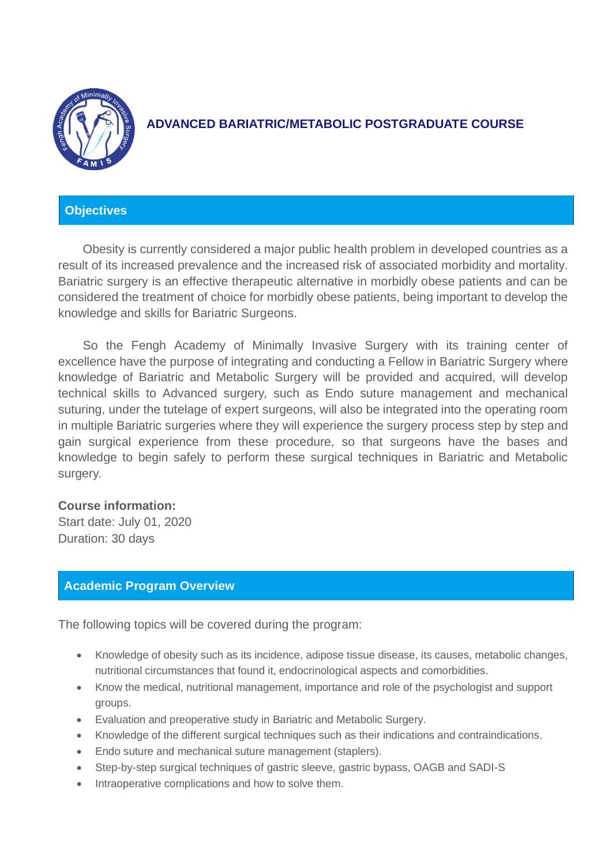

# **ADVANCED BARIATRIC/METABOLIC POSTGRADUATE COURSE**

# **Objectives**

Obesity is currently considered a major public health problem in developed countries as a result of its increased prevalence and the increased risk of associated morbidity and mortality. Bariatric surgery is an effective therapeutic alternative in morbidly obese patients and can be considered the treatment of choice for morbidly obese patients, being important to develop the knowledge and skills for Bariatric Surgeons.

So the Fengh Academy of Minimally Invasive Surgery with its training center of excellence have the purpose of integrating and conducting a Fellow in Bariatric Surgery where knowledge of Bariatric and Metabolic Surgery will be provided and acquired, will develop technical skills to Advanced surgery, such as Endo suture management and mechanical suturing, under the tutelage of expert surgeons, will also be integrated into the operating room in multiple Bariatric surgeries where they will experience the surgery process step by step and gain surgical experience from these procedure, so that surgeons have the bases and knowledge to begin safely to perform these surgical techniques in Bariatric and Metabolic surgery.

## **Course information:**

Start date: July 01, 2020 Duration: 30 days

## **Academic Program Overview**

The following topics will be covered during the program:

- Knowledge of obesity such as its incidence, adipose tissue disease, its causes, metabolic changes, nutritional circumstances that found it, endocrinological aspects and comorbidities.
- Know the medical, nutritional management, importance and role of the psychologist and support groups.
- Evaluation and preoperative study in Bariatric and Metabolic Surgery.
- Knowledge of the different surgical techniques such as their indications and contraindications.
- Endo suture and mechanical suture management (staplers).
- Step-by-step surgical techniques of gastric sleeve, gastric bypass, OAGB and SADI-S
- Intraoperative complications and how to solve them.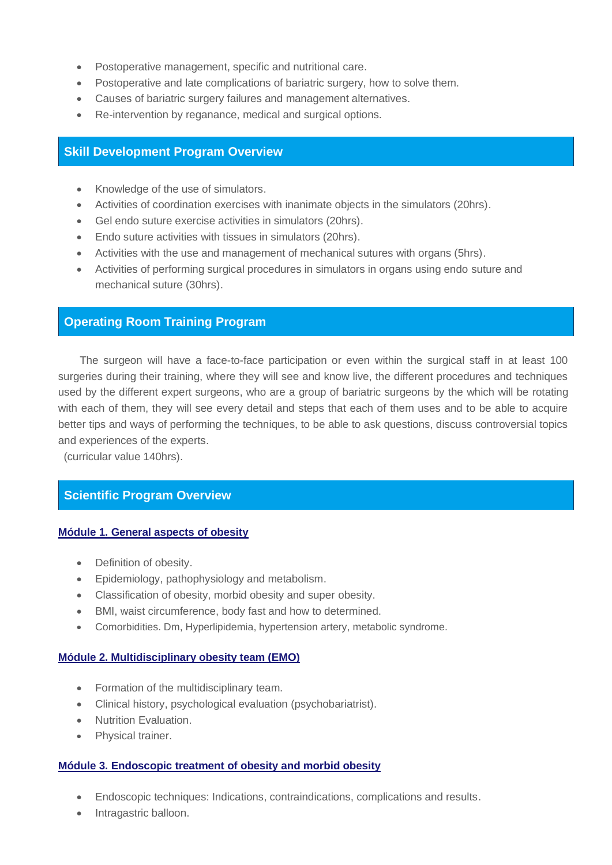- Postoperative management, specific and nutritional care.
- Postoperative and late complications of bariatric surgery, how to solve them.
- Causes of bariatric surgery failures and management alternatives.
- Re-intervention by reganance, medical and surgical options.

## **Skill Development Program Overview**

- Knowledge of the use of simulators.
- Activities of coordination exercises with inanimate objects in the simulators (20hrs).
- Gel endo suture exercise activities in simulators (20hrs).
- Endo suture activities with tissues in simulators (20hrs).
- Activities with the use and management of mechanical sutures with organs (5hrs).
- Activities of performing surgical procedures in simulators in organs using endo suture and mechanical suture (30hrs).

## **Operating Room Training Program**

The surgeon will have a face-to-face participation or even within the surgical staff in at least 100 surgeries during their training, where they will see and know live, the different procedures and techniques used by the different expert surgeons, who are a group of bariatric surgeons by the which will be rotating with each of them, they will see every detail and steps that each of them uses and to be able to acquire better tips and ways of performing the techniques, to be able to ask questions, discuss controversial topics and experiences of the experts.

(curricular value 140hrs).

## **Scientific Program Overview**

#### **Módule 1. General aspects of obesity**

- Definition of obesity.
- Epidemiology, pathophysiology and metabolism.
- Classification of obesity, morbid obesity and super obesity.
- BMI, waist circumference, body fast and how to determined.
- Comorbidities. Dm, Hyperlipidemia, hypertension artery, metabolic syndrome.

## **Módule 2. Multidisciplinary obesity team (EMO)**

- Formation of the multidisciplinary team.
- Clinical history, psychological evaluation (psychobariatrist).
- Nutrition Evaluation.
- Physical trainer.

#### **Módule 3. Endoscopic treatment of obesity and morbid obesity**

- Endoscopic techniques: Indications, contraindications, complications and results.
- Intragastric balloon.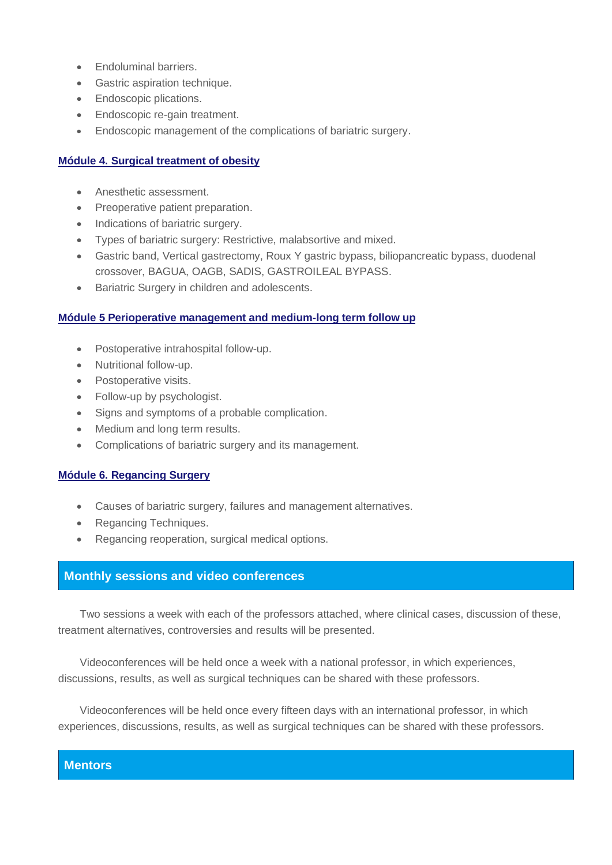- Endoluminal barriers.
- Gastric aspiration technique.
- Endoscopic plications.
- Endoscopic re-gain treatment.
- Endoscopic management of the complications of bariatric surgery.

#### **Módule 4. Surgical treatment of obesity**

- Anesthetic assessment.
- Preoperative patient preparation.
- Indications of bariatric surgery.
- Types of bariatric surgery: Restrictive, malabsortive and mixed.
- Gastric band, Vertical gastrectomy, Roux Y gastric bypass, biliopancreatic bypass, duodenal crossover, BAGUA, OAGB, SADIS, GASTROILEAL BYPASS.
- Bariatric Surgery in children and adolescents.

#### **Módule 5 Perioperative management and medium-long term follow up**

- Postoperative intrahospital follow-up.
- Nutritional follow-up.
- Postoperative visits.
- Follow-up by psychologist.
- Signs and symptoms of a probable complication.
- Medium and long term results.
- Complications of bariatric surgery and its management.

#### **Módule 6. Regancing Surgery**

- Causes of bariatric surgery, failures and management alternatives.
- Regancing Techniques.
- Regancing reoperation, surgical medical options.

## **Monthly sessions and video conferences**

Two sessions a week with each of the professors attached, where clinical cases, discussion of these, treatment alternatives, controversies and results will be presented.

Videoconferences will be held once a week with a national professor, in which experiences, discussions, results, as well as surgical techniques can be shared with these professors.

Videoconferences will be held once every fifteen days with an international professor, in which experiences, discussions, results, as well as surgical techniques can be shared with these professors.